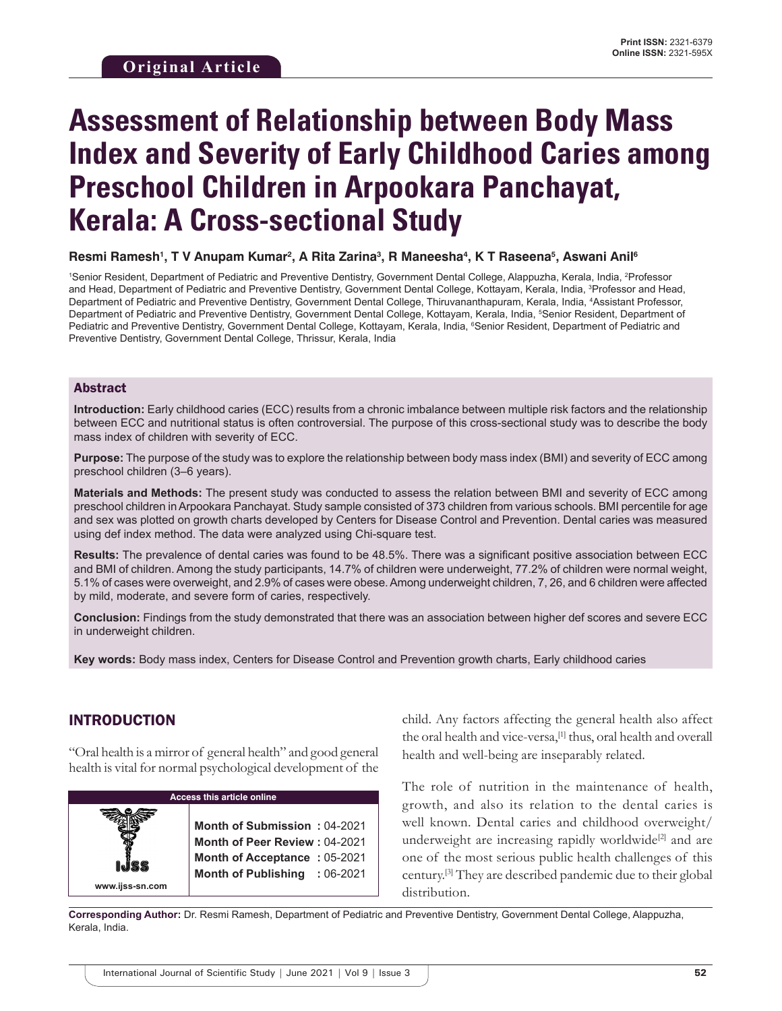# **Assessment of Relationship between Body Mass Index and Severity of Early Childhood Caries among Preschool Children in Arpookara Panchayat, Kerala: A Cross-sectional Study**

#### **Resmi Ramesh1 , T V Anupam Kumar2 , A Rita Zarina3 , R Maneesha4 , K T Raseena5 , Aswani Anil6**

1 Senior Resident, Department of Pediatric and Preventive Dentistry, Government Dental College, Alappuzha, Kerala, India, 2 Professor and Head, Department of Pediatric and Preventive Dentistry, Government Dental College, Kottayam, Kerala, India, 3 Professor and Head, Department of Pediatric and Preventive Dentistry, Government Dental College, Thiruvananthapuram, Kerala, India, 4 Assistant Professor, Department of Pediatric and Preventive Dentistry, Government Dental College, Kottayam, Kerala, India, 5 Senior Resident, Department of Pediatric and Preventive Dentistry, Government Dental College, Kottayam, Kerala, India, <sup>e</sup>Senior Resident, Department of Pediatric and Preventive Dentistry, Government Dental College, Thrissur, Kerala, India

#### Abstract

**Introduction:** Early childhood caries (ECC) results from a chronic imbalance between multiple risk factors and the relationship between ECC and nutritional status is often controversial. The purpose of this cross-sectional study was to describe the body mass index of children with severity of ECC.

**Purpose:** The purpose of the study was to explore the relationship between body mass index (BMI) and severity of ECC among preschool children (3–6 years).

**Materials and Methods:** The present study was conducted to assess the relation between BMI and severity of ECC among preschool children in Arpookara Panchayat. Study sample consisted of 373 children from various schools. BMI percentile for age and sex was plotted on growth charts developed by Centers for Disease Control and Prevention. Dental caries was measured using def index method. The data were analyzed using Chi-square test.

**Results:** The prevalence of dental caries was found to be 48.5%. There was a significant positive association between ECC and BMI of children. Among the study participants, 14.7% of children were underweight, 77.2% of children were normal weight, 5.1% of cases were overweight, and 2.9% of cases were obese. Among underweight children, 7, 26, and 6 children were affected by mild, moderate, and severe form of caries, respectively.

**Conclusion:** Findings from the study demonstrated that there was an association between higher def scores and severe ECC in underweight children.

**Key words:** Body mass index, Centers for Disease Control and Prevention growth charts, Early childhood caries

#### INTRODUCTION

"Oral health is a mirror of general health" and good general health is vital for normal psychological development of the

| <b>Access this article online</b> |                                                                                                                                       |  |
|-----------------------------------|---------------------------------------------------------------------------------------------------------------------------------------|--|
| www.ijss-sn.com                   | Month of Submission: 04-2021<br><b>Month of Peer Review: 04-2021</b><br>Month of Acceptance: 05-2021<br>Month of Publishing : 06-2021 |  |

child. Any factors affecting the general health also affect the oral health and vice-versa,<sup>[1]</sup> thus, oral health and overall health and well-being are inseparably related.

The role of nutrition in the maintenance of health, growth, and also its relation to the dental caries is well known. Dental caries and childhood overweight/ underweight are increasing rapidly worldwide<sup>[2]</sup> and are one of the most serious public health challenges of this century.[3] They are described pandemic due to their global distribution.

**Corresponding Author:** Dr. Resmi Ramesh, Department of Pediatric and Preventive Dentistry, Government Dental College, Alappuzha, Kerala, India.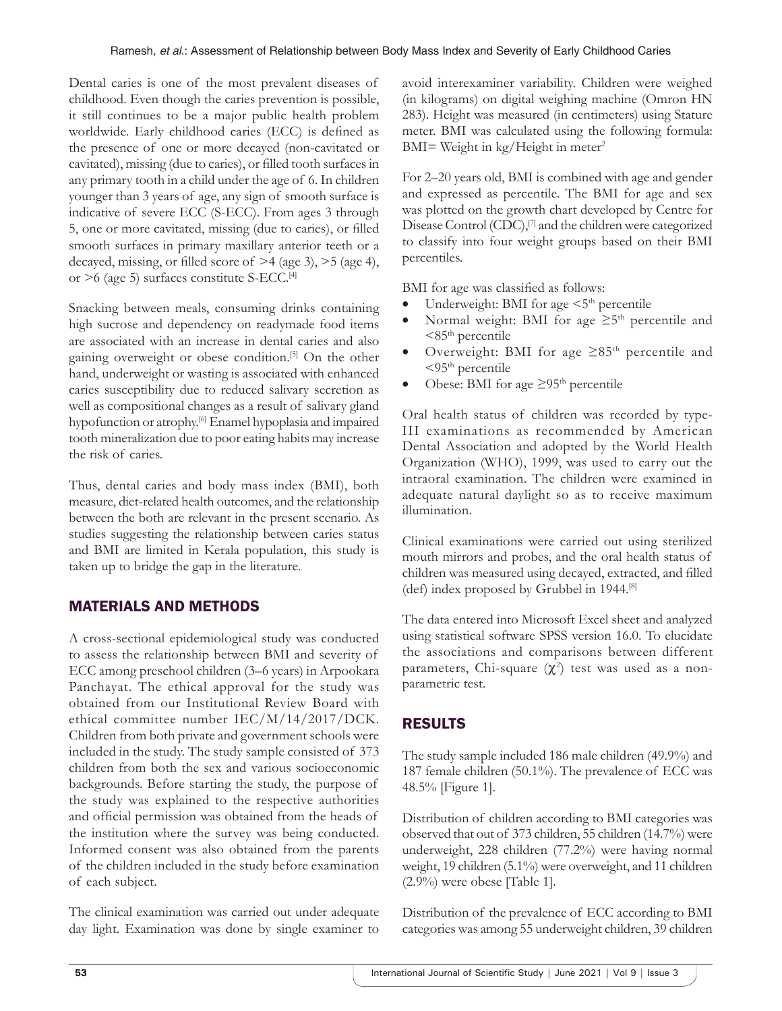Dental caries is one of the most prevalent diseases of childhood. Even though the caries prevention is possible, it still continues to be a major public health problem worldwide. Early childhood caries (ECC) is defined as the presence of one or more decayed (non-cavitated or cavitated), missing (due to caries), or filled tooth surfaces in any primary tooth in a child under the age of 6. In children younger than 3 years of age, any sign of smooth surface is indicative of severe ECC (S-ECC). From ages 3 through 5, one or more cavitated, missing (due to caries), or filled smooth surfaces in primary maxillary anterior teeth or a decayed, missing, or filled score of >4 (age 3), >5 (age 4), or >6 (age 5) surfaces constitute S-ECC.[4]

Snacking between meals, consuming drinks containing high sucrose and dependency on readymade food items are associated with an increase in dental caries and also gaining overweight or obese condition.[5] On the other hand, underweight or wasting is associated with enhanced caries susceptibility due to reduced salivary secretion as well as compositional changes as a result of salivary gland hypofunction or atrophy.[6] Enamel hypoplasia and impaired tooth mineralization due to poor eating habits may increase the risk of caries.

Thus, dental caries and body mass index (BMI), both measure, diet-related health outcomes, and the relationship between the both are relevant in the present scenario. As studies suggesting the relationship between caries status and BMI are limited in Kerala population, this study is taken up to bridge the gap in the literature.

# MATERIALS AND METHODS

A cross-sectional epidemiological study was conducted to assess the relationship between BMI and severity of ECC among preschool children (3–6 years) in Arpookara Panchayat. The ethical approval for the study was obtained from our Institutional Review Board with ethical committee number IEC/M/14/2017/DCK. Children from both private and government schools were included in the study. The study sample consisted of 373 children from both the sex and various socioeconomic backgrounds. Before starting the study, the purpose of the study was explained to the respective authorities and official permission was obtained from the heads of the institution where the survey was being conducted. Informed consent was also obtained from the parents of the children included in the study before examination of each subject.

The clinical examination was carried out under adequate day light. Examination was done by single examiner to avoid interexaminer variability. Children were weighed (in kilograms) on digital weighing machine (Omron HN 283). Height was measured (in centimeters) using Stature meter. BMI was calculated using the following formula: BMI= Weight in  $kg/Height$  in meter<sup>2</sup>

For 2–20 years old, BMI is combined with age and gender and expressed as percentile. The BMI for age and sex was plotted on the growth chart developed by Centre for Disease Control (CDC),<sup>[7]</sup> and the children were categorized to classify into four weight groups based on their BMI percentiles.

BMI for age was classified as follows:

- Underweight: BMI for age  $\leq 5^{\text{th}}$  percentile
- Normal weight: BMI for age  $\geq 5$ <sup>th</sup> percentile and  $<85<sup>th</sup>$  percentile
- Overweight: BMI for age  $\geq 85$ <sup>th</sup> percentile and  $<$ 95<sup>th</sup> percentile
- Obese: BMI for age  $\geq$ 95<sup>th</sup> percentile

Oral health status of children was recorded by type-III examinations as recommended by American Dental Association and adopted by the World Health Organization (WHO), 1999, was used to carry out the intraoral examination. The children were examined in adequate natural daylight so as to receive maximum illumination.

Clinical examinations were carried out using sterilized mouth mirrors and probes, and the oral health status of children was measured using decayed, extracted, and filled (def) index proposed by Grubbel in 1944.[8]

The data entered into Microsoft Excel sheet and analyzed using statistical software SPSS version 16.0. To elucidate the associations and comparisons between different parameters, Chi-square  $(\chi^2)$  test was used as a nonparametric test.

# RESULTS

The study sample included 186 male children (49.9%) and 187 female children (50.1%). The prevalence of ECC was 48.5% [Figure 1].

Distribution of children according to BMI categories was observed that out of 373 children, 55 children (14.7%) were underweight, 228 children (77.2%) were having normal weight, 19 children (5.1%) were overweight, and 11 children (2.9%) were obese [Table 1].

Distribution of the prevalence of ECC according to BMI categories was among 55 underweight children, 39 children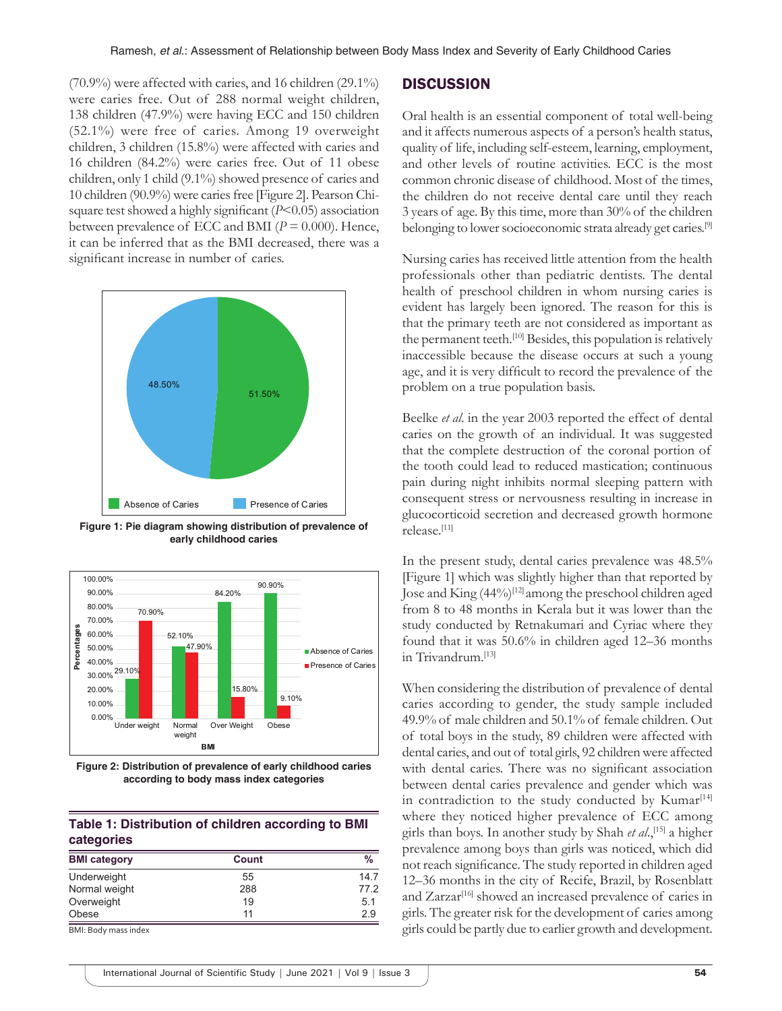(70.9%) were affected with caries, and 16 children (29.1%) were caries free. Out of 288 normal weight children, 138 children (47.9%) were having ECC and 150 children (52.1%) were free of caries. Among 19 overweight children, 3 children (15.8%) were affected with caries and 16 children (84.2%) were caries free. Out of 11 obese children, only 1 child (9.1%) showed presence of caries and 10 children (90.9%) were caries free [Figure 2]. Pearson Chisquare test showed a highly significant (*P*<0.05) association between prevalence of ECC and BMI (*P* = 0.000). Hence, it can be inferred that as the BMI decreased, there was a significant increase in number of caries.



**Figure 1: Pie diagram showing distribution of prevalence of early childhood caries**



**Figure 2: Distribution of prevalence of early childhood caries according to body mass index categories**

#### **Table 1: Distribution of children according to BMI categories**

| <b>BMI</b> category   | Count | %    |
|-----------------------|-------|------|
| Underweight           | 55    | 147  |
| Normal weight         | 288   | 77.2 |
| Overweight            | 19    | 5.1  |
| Obese                 | 11    | 2.9  |
| DML Dady money indove |       |      |

ll: Body mass index

#### **DISCUSSION**

Oral health is an essential component of total well-being and it affects numerous aspects of a person's health status, quality of life, including self-esteem, learning, employment, and other levels of routine activities. ECC is the most common chronic disease of childhood. Most of the times, the children do not receive dental care until they reach 3 years of age. By this time, more than 30% of the children belonging to lower socioeconomic strata already get caries.[9]

Nursing caries has received little attention from the health professionals other than pediatric dentists. The dental health of preschool children in whom nursing caries is evident has largely been ignored. The reason for this is that the primary teeth are not considered as important as the permanent teeth.<sup>[10]</sup> Besides, this population is relatively inaccessible because the disease occurs at such a young age, and it is very difficult to record the prevalence of the problem on a true population basis.

Beelke *et al*. in the year 2003 reported the effect of dental caries on the growth of an individual. It was suggested that the complete destruction of the coronal portion of the tooth could lead to reduced mastication; continuous pain during night inhibits normal sleeping pattern with consequent stress or nervousness resulting in increase in glucocorticoid secretion and decreased growth hormone release.[11]

In the present study, dental caries prevalence was 48.5% [Figure 1] which was slightly higher than that reported by Jose and King (44%)<sup>[12]</sup> among the preschool children aged from 8 to 48 months in Kerala but it was lower than the study conducted by Retnakumari and Cyriac where they found that it was 50.6% in children aged 12–36 months in Trivandrum.[13]

When considering the distribution of prevalence of dental caries according to gender, the study sample included 49.9% of male children and 50.1% of female children. Out of total boys in the study, 89 children were affected with dental caries, and out of total girls, 92 children were affected with dental caries. There was no significant association between dental caries prevalence and gender which was in contradiction to the study conducted by Kumar<sup>[14]</sup> where they noticed higher prevalence of ECC among girls than boys. In another study by Shah *et al*.,[15] a higher prevalence among boys than girls was noticed, which did not reach significance. The study reported in children aged 12–36 months in the city of Recife, Brazil, by Rosenblatt and Zarzar<sup>[16]</sup> showed an increased prevalence of caries in girls. The greater risk for the development of caries among girls could be partly due to earlier growth and development.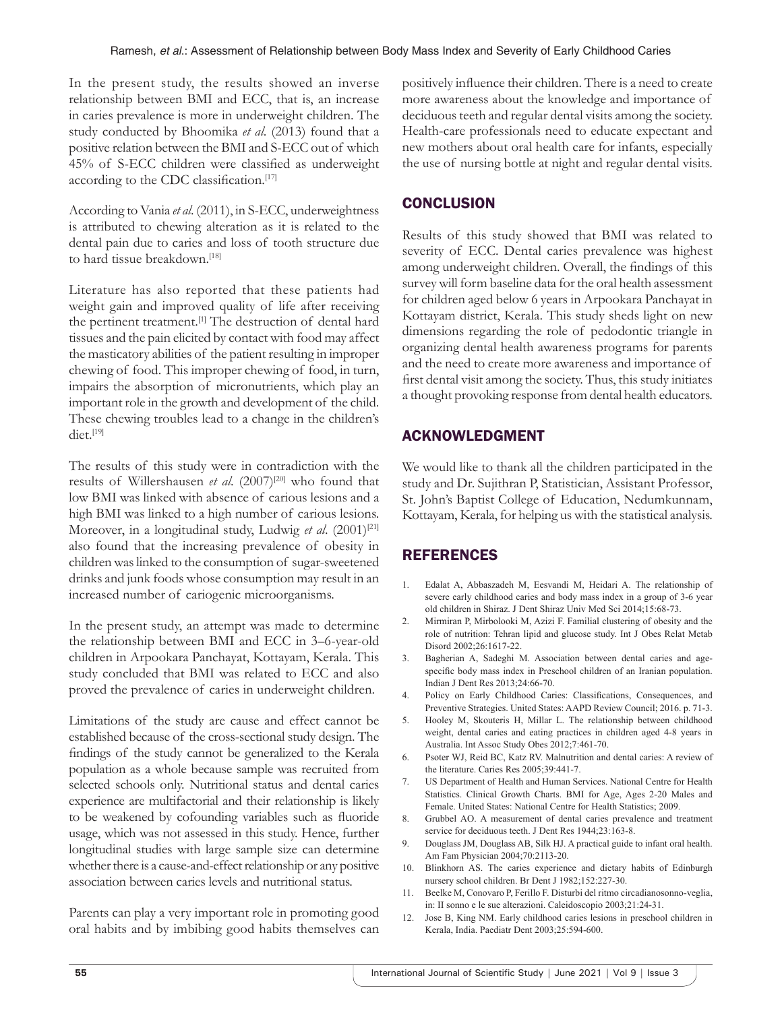In the present study, the results showed an inverse relationship between BMI and ECC, that is, an increase in caries prevalence is more in underweight children. The study conducted by Bhoomika *et al*. (2013) found that a positive relation between the BMI and S-ECC out of which 45% of S-ECC children were classified as underweight according to the CDC classification.[17]

According to Vania *et al*. (2011), in S-ECC, underweightness is attributed to chewing alteration as it is related to the dental pain due to caries and loss of tooth structure due to hard tissue breakdown.<sup>[18]</sup>

Literature has also reported that these patients had weight gain and improved quality of life after receiving the pertinent treatment.<sup>[1]</sup> The destruction of dental hard tissues and the pain elicited by contact with food may affect the masticatory abilities of the patient resulting in improper chewing of food. This improper chewing of food, in turn, impairs the absorption of micronutrients, which play an important role in the growth and development of the child. These chewing troubles lead to a change in the children's diet.[19]

The results of this study were in contradiction with the results of Willershausen et al. (2007)<sup>[20]</sup> who found that low BMI was linked with absence of carious lesions and a high BMI was linked to a high number of carious lesions. Moreover, in a longitudinal study, Ludwig *et al.* (2001)<sup>[21]</sup> also found that the increasing prevalence of obesity in children was linked to the consumption of sugar-sweetened drinks and junk foods whose consumption may result in an increased number of cariogenic microorganisms.

In the present study, an attempt was made to determine the relationship between BMI and ECC in 3–6-year-old children in Arpookara Panchayat, Kottayam, Kerala. This study concluded that BMI was related to ECC and also proved the prevalence of caries in underweight children.

Limitations of the study are cause and effect cannot be established because of the cross-sectional study design. The findings of the study cannot be generalized to the Kerala population as a whole because sample was recruited from selected schools only. Nutritional status and dental caries experience are multifactorial and their relationship is likely to be weakened by cofounding variables such as fluoride usage, which was not assessed in this study. Hence, further longitudinal studies with large sample size can determine whether there is a cause-and-effect relationship or any positive association between caries levels and nutritional status.

Parents can play a very important role in promoting good oral habits and by imbibing good habits themselves can positively influence their children. There is a need to create more awareness about the knowledge and importance of deciduous teeth and regular dental visits among the society. Health-care professionals need to educate expectant and new mothers about oral health care for infants, especially the use of nursing bottle at night and regular dental visits.

## **CONCLUSION**

Results of this study showed that BMI was related to severity of ECC. Dental caries prevalence was highest among underweight children. Overall, the findings of this survey will form baseline data for the oral health assessment for children aged below 6 years in Arpookara Panchayat in Kottayam district, Kerala. This study sheds light on new dimensions regarding the role of pedodontic triangle in organizing dental health awareness programs for parents and the need to create more awareness and importance of first dental visit among the society. Thus, this study initiates a thought provoking response from dental health educators.

## ACKNOWLEDGMENT

We would like to thank all the children participated in the study and Dr. Sujithran P, Statistician, Assistant Professor, St. John's Baptist College of Education, Nedumkunnam, Kottayam, Kerala, for helping us with the statistical analysis.

### **REFERENCES**

- 1. Edalat A, Abbaszadeh M, Eesvandi M, Heidari A. The relationship of severe early childhood caries and body mass index in a group of 3-6 year old children in Shiraz. J Dent Shiraz Univ Med Sci 2014;15:68-73.
- 2. Mirmiran P, Mirbolooki M, Azizi F. Familial clustering of obesity and the role of nutrition: Tehran lipid and glucose study. Int J Obes Relat Metab Disord 2002;26:1617-22.
- 3. Bagherian A, Sadeghi M. Association between dental caries and agespecific body mass index in Preschool children of an Iranian population. Indian J Dent Res 2013;24:66-70.
- 4. Policy on Early Childhood Caries: Classifications, Consequences, and Preventive Strategies. United States: AAPD Review Council; 2016. p. 71-3.
- 5. Hooley M, Skouteris H, Millar L. The relationship between childhood weight, dental caries and eating practices in children aged 4-8 years in Australia. Int Assoc Study Obes 2012;7:461-70.
- 6. Psoter WJ, Reid BC, Katz RV. Malnutrition and dental caries: A review of the literature. Caries Res 2005;39:441-7.
- 7. US Department of Health and Human Services. National Centre for Health Statistics. Clinical Growth Charts. BMI for Age, Ages 2-20 Males and Female. United States: National Centre for Health Statistics; 2009.
- 8. Grubbel AO. A measurement of dental caries prevalence and treatment service for deciduous teeth. J Dent Res 1944;23:163-8.
- 9. Douglass JM, Douglass AB, Silk HJ. A practical guide to infant oral health. Am Fam Physician 2004;70:2113-20.
- 10. Blinkhorn AS. The caries experience and dietary habits of Edinburgh nursery school children. Br Dent J 1982;152:227-30.
- 11. Beelke M, Conovaro P, Ferillo F. Disturbi del ritmo circadianosonno-veglia, in: II sonno e le sue alterazioni. Caleidoscopio 2003;21:24-31.
- 12. Jose B, King NM. Early childhood caries lesions in preschool children in Kerala, India. Paediatr Dent 2003;25:594-600.